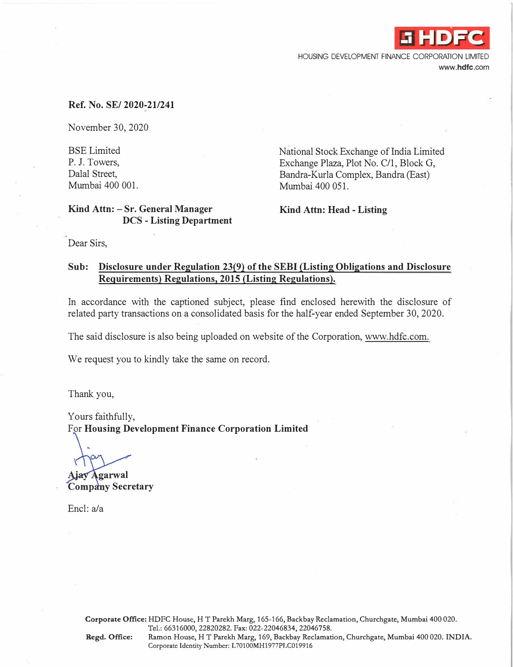

HOUSING DEVELOPMENT FINANCE CORPORATION LIMITED **www.hdfc.com** 

### **Ref. No. SE/ 2020-21/241**

November 30, 2020

BSE Limited P. J. Towers, Dalal Street, Mumbai 400 001.

## **Kind Attn: - Sr. General Manager DCS - Listing Department**

National Stock Exchange of India Limited Exchange Plaza, Plot No. C/1, Block G, Bandra-Kurla Complex, Bandra (East) Mumbai 400 051.

**Kind Attn: Head- Listing** 

Dear Sirs,

## **Sub: Disclosure under Regulation 23(9) of the SEBI (Listing Obligations and Disclosure Requirements) Regulations, 2015 (Listing Regulations).**

In accordance with the captioned subject, please find enclosed herewith the disclosure of related party transactions on a consolidated basis for the half-year ended September 30, 2020.

The said disclosure is also being uploaded on website of the Corporation, www.hdfc.com.

We request you to kindly take the same on record.

Thank you,

Yours faithfully, For **Housing Development Finance Corporation Limited** 

**Ajay Agarwal Company Secretary** 

Encl: a/a

**Corporate Office:** HDFC House, HT Parekh Marg, 165-166, Backbay Reclamation, Churchgate, Mumbai 400 020. Tel.: 66316000, 22820282. Fax: 022-22046834, 22046758.

**Regd. Office:** Ramon House, HT Parekh Marg, 169, Backbay Reclamation, Churchgate, Mumbai 400 020. **INDIA.**  Corporate Identity Number: L70100MH1977PLC019916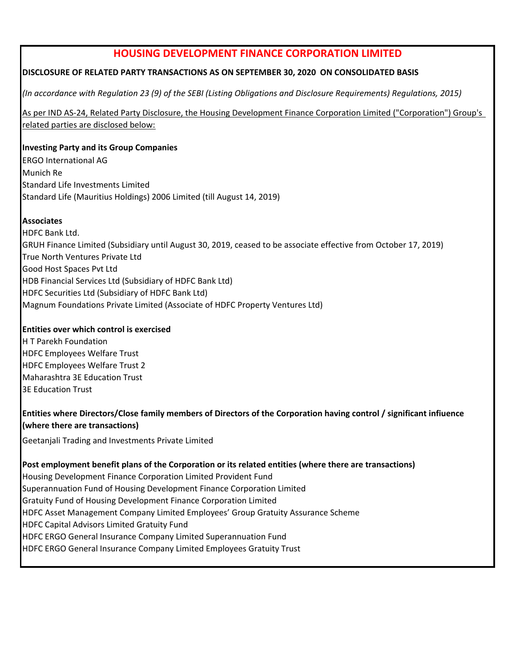# **HOUSING DEVELOPMENT FINANCE CORPORATION LIMITED**

## **DISCLOSURE OF RELATED PARTY TRANSACTIONS AS ON SEPTEMBER 30, 2020 ON CONSOLIDATED BASIS**

*(In accordance with Regulation 23 (9) of the SEBI (Listing Obligations and Disclosure Requirements) Regulations, 2015)*

As per IND AS-24, Related Party Disclosure, the Housing Development Finance Corporation Limited ("Corporation") Group's related parties are disclosed below:

## **Investing Party and its Group Companies**

ERGO International AG Munich Re Standard Life Investments Limited Standard Life (Mauritius Holdings) 2006 Limited (till August 14, 2019)

## **Associates**

HDFC Bank Ltd. GRUH Finance Limited (Subsidiary until August 30, 2019, ceased to be associate effective from October 17, 2019) True North Ventures Private Ltd Good Host Spaces Pvt Ltd HDB Financial Services Ltd (Subsidiary of HDFC Bank Ltd) HDFC Securities Ltd (Subsidiary of HDFC Bank Ltd) Magnum Foundations Private Limited (Associate of HDFC Property Ventures Ltd)

## **Entities over which control is exercised**

H T Parekh Foundation HDFC Employees Welfare Trust HDFC Employees Welfare Trust 2 Maharashtra 3E Education Trust 3E Education Trust

## **Entities where Directors/Close family members of Directors of the Corporation having control / significant infiuence (where there are transactions)**

Geetanjali Trading and Investments Private Limited

## **Post employment benefit plans of the Corporation or its related entities (where there are transactions)**

Housing Development Finance Corporation Limited Provident Fund Superannuation Fund of Housing Development Finance Corporation Limited Gratuity Fund of Housing Development Finance Corporation Limited HDFC Asset Management Company Limited Employees' Group Gratuity Assurance Scheme HDFC Capital Advisors Limited Gratuity Fund HDFC ERGO General Insurance Company Limited Superannuation Fund HDFC ERGO General Insurance Company Limited Employees Gratuity Trust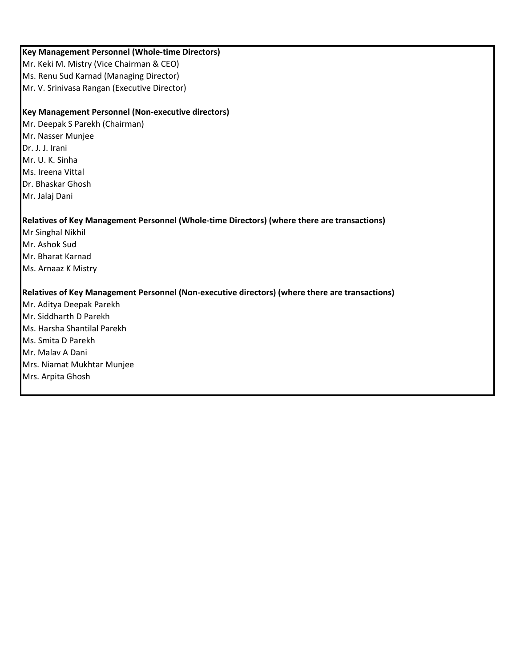## **Key Management Personnel (Whole-time Directors)**

Mr. Keki M. Mistry (Vice Chairman & CEO) Ms. Renu Sud Karnad (Managing Director) Mr. V. Srinivasa Rangan (Executive Director)

## **Key Management Personnel (Non-executive directors)**

Mr. Deepak S Parekh (Chairman) Mr. Nasser Munjee Dr. J. J. Irani Mr. U. K. Sinha Ms. Ireena Vittal Dr. Bhaskar Ghosh Mr. Jalaj Dani

## **Relatives of Key Management Personnel (Whole-time Directors) (where there are transactions)**

Mr Singhal Nikhil Mr. Ashok Sud Mr. Bharat Karnad Ms. Arnaaz K Mistry

## **Relatives of Key Management Personnel (Non-executive directors) (where there are transactions)**

Mr. Aditya Deepak Parekh Mr. Siddharth D Parekh Ms. Harsha Shantilal Parekh Ms. Smita D Parekh Mr. Malav A Dani Mrs. Niamat Mukhtar Munjee Mrs. Arpita Ghosh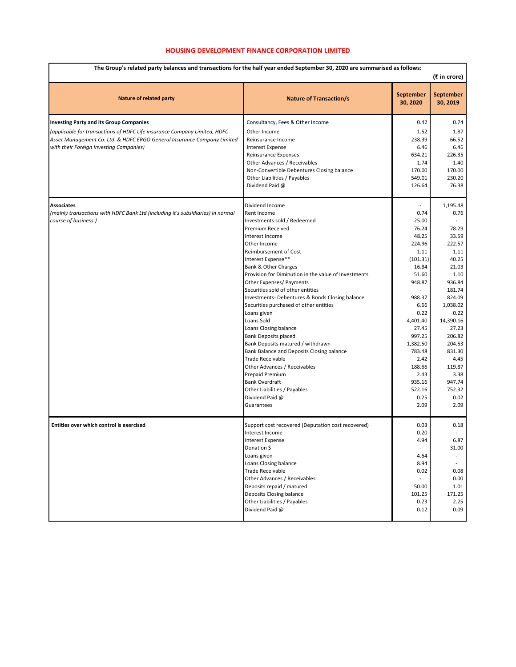#### **HOUSING DEVELOPMENT FINANCE CORPORATION LIMITED**

| The Group's related party balances and transactions for the half year ended September 30, 2020 are summarised as follows:<br>(₹ in crore) |                                                                                           |                              |                       |  |
|-------------------------------------------------------------------------------------------------------------------------------------------|-------------------------------------------------------------------------------------------|------------------------------|-----------------------|--|
| <b>Nature of related party</b>                                                                                                            | <b>Nature of Transaction/s</b>                                                            | <b>September</b><br>30, 2020 | September<br>30, 2019 |  |
| <b>Investing Party and its Group Companies</b>                                                                                            | Consultancy, Fees & Other Income                                                          | 0.42                         | 0.74                  |  |
| (applicable for transactions of HDFC Life insurance Company Limited, HDFC                                                                 | Other Income                                                                              | 1.52                         | 1.87                  |  |
| Asset Management Co. Ltd. & HDFC ERGO General Insurance Company Limited                                                                   | Reinsurance Income                                                                        | 238.39                       | 66.52                 |  |
| with their Foreign Investing Companies)                                                                                                   | <b>Interest Expense</b>                                                                   | 6.46                         | 6.46                  |  |
|                                                                                                                                           | Reinsurance Expenses                                                                      | 634.21                       | 226.35                |  |
|                                                                                                                                           | Other Advances / Receivables<br>Non-Convertible Debentures Closing balance                | 1.74<br>170.00               | 1.40<br>170.00        |  |
|                                                                                                                                           | Other Liabilities / Payables                                                              | 549.01                       | 230.20                |  |
|                                                                                                                                           | Dividend Paid @                                                                           | 126.64                       | 76.38                 |  |
| Associates                                                                                                                                | Dividend Income                                                                           |                              | 1,195.48              |  |
| (mainly transactions with HDFC Bank Ltd (including it's subsidiaries) in normal                                                           | Rent Income                                                                               | 0.74                         | 0.76                  |  |
| course of business.)                                                                                                                      | Investments sold / Redeemed                                                               | 25.00                        |                       |  |
|                                                                                                                                           | Premium Received                                                                          | 76.24                        | 78.29                 |  |
|                                                                                                                                           | Interest Income<br>Other Income                                                           | 48.25<br>224.96              | 33.59<br>222.57       |  |
|                                                                                                                                           | Reimbursement of Cost                                                                     | 1.11                         | 1.11                  |  |
|                                                                                                                                           | Interest Expense**                                                                        | (101.31)                     | 40.25                 |  |
|                                                                                                                                           | <b>Bank &amp; Other Charges</b>                                                           | 16.84                        | 21.03                 |  |
|                                                                                                                                           | Provision for Diminution in the value of Investments                                      | 51.60                        | 1.10                  |  |
|                                                                                                                                           | Other Expenses/ Payments                                                                  | 948.87                       | 936.84                |  |
|                                                                                                                                           | Securities sold of other entities                                                         | $\overline{a}$               | 181.74                |  |
|                                                                                                                                           | Investments- Debentures & Bonds Closing balance<br>Securities purchased of other entities | 988.37<br>6.66               | 824.09<br>1,038.02    |  |
|                                                                                                                                           | Loans given                                                                               | 0.22                         | 0.22                  |  |
|                                                                                                                                           | Loans Sold                                                                                | 4,401.40                     | 14,390.16             |  |
|                                                                                                                                           | Loans Closing balance                                                                     | 27.45                        | 27.23                 |  |
|                                                                                                                                           | <b>Bank Deposits placed</b>                                                               | 997.25                       | 206.82                |  |
|                                                                                                                                           | Bank Deposits matured / withdrawn                                                         | 1,382.50                     | 204.53                |  |
|                                                                                                                                           | Bank Balance and Deposits Closing balance                                                 | 783.48                       | 831.30                |  |
|                                                                                                                                           | <b>Trade Receivable</b><br>Other Advances / Receivables                                   | 2.42<br>188.66               | 4.45<br>119.87        |  |
|                                                                                                                                           | <b>Prepaid Premium</b>                                                                    | 2.43                         | 3.38                  |  |
|                                                                                                                                           | <b>Bank Overdraft</b>                                                                     | 935.16                       | 947.74                |  |
|                                                                                                                                           | Other Liabilities / Payables                                                              | 522.16                       | 752.32                |  |
|                                                                                                                                           | Dividend Paid @                                                                           | 0.25                         | 0.02                  |  |
|                                                                                                                                           | Guarantees                                                                                | 2.09                         | 2.09                  |  |
| Entities over which control is exercised                                                                                                  | Support cost recovered (Deputation cost recovered)                                        | 0.03                         | 0.18                  |  |
|                                                                                                                                           | Interest Income                                                                           | 0.20                         |                       |  |
|                                                                                                                                           | <b>Interest Expense</b><br>Donation \$                                                    | 4.94                         | 6.87<br>31.00         |  |
|                                                                                                                                           | Loans given                                                                               | 4.64                         |                       |  |
|                                                                                                                                           | Loans Closing balance                                                                     | 8.94                         |                       |  |
|                                                                                                                                           | <b>Trade Receivable</b>                                                                   | 0.02                         | 0.08                  |  |
|                                                                                                                                           | Other Advances / Receivables                                                              |                              | 0.00                  |  |
|                                                                                                                                           | Deposits repaid / matured                                                                 | 50.00                        | 1.01                  |  |
|                                                                                                                                           | Deposits Closing balance<br>Other Liabilities / Payables                                  | 101.25<br>0.23               | 171.25                |  |
|                                                                                                                                           | Dividend Paid @                                                                           | 0.12                         | 2.25<br>0.09          |  |
|                                                                                                                                           |                                                                                           |                              |                       |  |